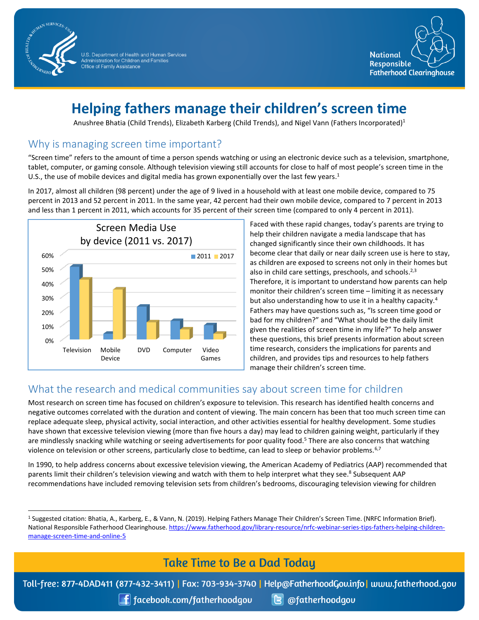

U.S. Department of Health and Human Services<br>Administration for Children and Families Office of Family Assistance



# **Helping fathers manage their children's screen time**

Anushree Bhatia (Child Trends), Elizabeth Karberg (Child Trends), and Nigel Vann (Fathers Incorporated)<sup>1</sup>

## Why is managing screen time important?

"Screen time" refers to the amount of time a person spends watching or using an electronic device such as a television, smartphone, tablet, computer, or gaming console. Although television viewing still accounts for close to half of most people's screen time in the U.S., the use of mobile devices and digital media has grown exponentially over the last few years.<sup>1</sup>

In 2017, almost all children (98 percent) under the age of 9 lived in a household with at least one mobile device, compared to 75 percent in 2013 and 52 percent in 2011. In the same year, 42 percent had their own mobile device, compared to 7 percent in 2013 and less than 1 percent in 2011, which accounts for 35 percent of their screen time (compared to only 4 percent in 2011).



Faced with these rapid changes, today's parents are trying to help their children navigate a media landscape that has changed significantly since their own childhoods. It has become clear that daily or near daily screen use is here to stay, as children are exposed to screens not only in their homes but also in child care settings, preschools, and schools.<sup>2,3</sup> Therefore, it is important to understand how parents can help monitor their children's screen time – limiting it as necessary but also understanding how to use it in a healthy capacity.<sup>4</sup> Fathers may have questions such as, "Is screen time good or bad for my children?" and "What should be the daily limit given the realities of screen time in my life?" To help answer these questions, this brief presents information about screen time research, considers the implications for parents and children, and provides tips and resources to help fathers manage their children's screen time.

## What the research and medical communities say about screen time for children

Most research on screen time has focused on children's exposure to television. This research has identified health concerns and negative outcomes correlated with the duration and content of viewing. The main concern has been that too much screen time can replace adequate sleep, physical activity, social interaction, and other activities essential for healthy development. Some studies have shown that excessive television viewing (more than five hours a day) may lead to children gaining weight, particularly if they are mindlessly snacking while watching or seeing advertisements for poor quality food.<sup>5</sup> There are also concerns that watching violence on television or other screens, particularly close to bedtime, can lead to sleep or behavior problems.<sup>6,7</sup>

In 1990, to help address concerns about excessive television viewing, the American Academy of Pediatrics (AAP) recommended that parents limit their children's television viewing and watch with them to help interpret what they see.<sup>8</sup> Subsequent AAP recommendations have included removing television sets from children's bedrooms, discouraging television viewing for children

## **Take Time to Be a Dad Today**

Toll-free: 877-4DAD411 (877-432-3411) | Fax: 703-934-3740 | Help@FatherhoodGov.info | www.fatherhood.gov

 $\Box$  facebook.com/fatherhoodgov

**B** @fatherhoodgou

<sup>&</sup>lt;sup>1</sup> Suggested citation: Bhatia, A., Karberg, E., & Vann, N. (2019). Helping Fathers Manage Their Children's Screen Time. (NRFC Information Brief). National Responsible Fatherhood Clearinghouse. [https://www.fatherhood.gov/library-resource/nrfc-webinar-series-tips-fathers-helping-children](https://www.fatherhood.gov/library-resource/nrfc-webinar-series-tips-fathers-helping-children-manage-screen-time-and-online-5)[manage-screen-time-and-online-5](https://www.fatherhood.gov/library-resource/nrfc-webinar-series-tips-fathers-helping-children-manage-screen-time-and-online-5)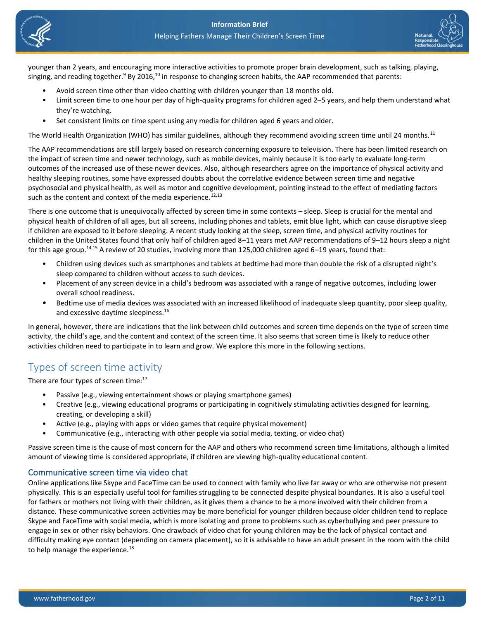



younger than 2 years, and encouraging more interactive activities to promote proper brain development, such as talking, playing, singing, and reading together.<sup>9</sup> By 2016,<sup>10</sup> in response to changing screen habits, the AAP recommended that parents:

- Avoid screen time other than video chatting with children younger than 18 months old.
- Limit screen time to one hour per day of high-quality programs for children aged 2–5 years, and help them understand what they're watching.
- Set consistent limits on time spent using any media for children aged 6 years and older.

The World Health Organization (WHO) has similar guidelines, although they recommend avoiding screen time until 24 months.<sup>11</sup>

The AAP recommendations are still largely based on research concerning exposure to television. There has been limited research on the impact of screen time and newer technology, such as mobile devices, mainly because it is too early to evaluate long-term outcomes of the increased use of these newer devices. Also, although researchers agree on the importance of physical activity and healthy sleeping routines, some have expressed doubts about the correlative evidence between screen time and negative psychosocial and physical health, as well as motor and cognitive development, pointing instead to the effect of mediating factors such as the content and context of the media experience.<sup>12,13</sup>

There is one outcome that is unequivocally affected by screen time in some contexts – sleep. Sleep is crucial for the mental and physical health of children of all ages, but all screens, including phones and tablets, emit blue light, which can cause disruptive sleep if children are exposed to it before sleeping. A recent study looking at the sleep, screen time, and physical activity routines for children in the United States found that only half of children aged 8–11 years met AAP recommendations of 9–12 hours sleep a night for this age group.<sup>14,15</sup> A review of 20 studies, involving more than 125,000 children aged 6–19 years, found that:

- Children using devices such as smartphones and tablets at bedtime had more than double the risk of a disrupted night's sleep compared to children without access to such devices.
- Placement of any screen device in a child's bedroom was associated with a range of negative outcomes, including lower overall school readiness.
- Bedtime use of media devices was associated with an increased likelihood of inadequate sleep quantity, poor sleep quality, and excessive daytime sleepiness.<sup>16</sup>

In general, however, there are indications that the link between child outcomes and screen time depends on the type of screen time activity, the child's age, and the content and context of the screen time. It also seems that screen time is likely to reduce other activities children need to participate in to learn and grow. We explore this more in the following sections.

## Types of screen time activity

There are four types of screen time:<sup>17</sup>

- Passive (e.g., viewing entertainment shows or playing smartphone games)
- Creative (e.g., viewing educational programs or participating in cognitively stimulating activities designed for learning, creating, or developing a skill)
- Active (e.g., playing with apps or video games that require physical movement)
- Communicative (e.g., interacting with other people via social media, texting, or video chat)

Passive screen time is the cause of most concern for the AAP and others who recommend screen time limitations, although a limited amount of viewing time is considered appropriate, if children are viewing high-quality educational content.

#### Communicative screen time via video chat

Online applications like Skype and FaceTime can be used to connect with family who live far away or who are otherwise not present physically. This is an especially useful tool for families struggling to be connected despite physical boundaries. It is also a useful tool for fathers or mothers not living with their children, as it gives them a chance to be a more involved with their children from a distance. These communicative screen activities may be more beneficial for younger children because older children tend to replace Skype and FaceTime with social media, which is more isolating and prone to problems such as cyberbullying and peer pressure to engage in sex or other risky behaviors. One drawback of video chat for young children may be the lack of physical contact and difficulty making eye contact (depending on camera placement), so it is advisable to have an adult present in the room with the child to help manage the experience.<sup>18</sup>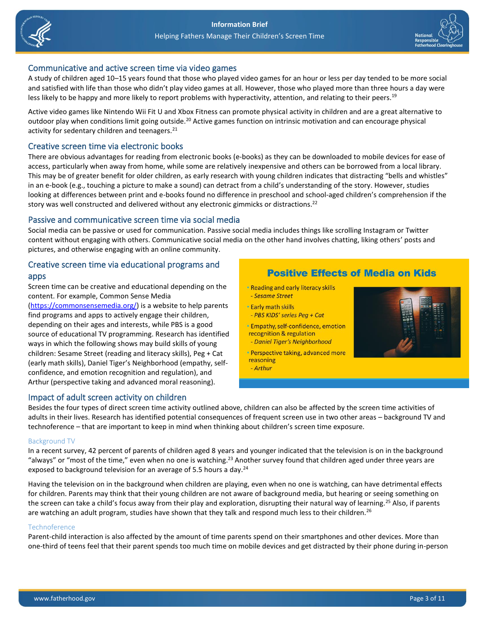



### Communicative and active screen time via video games

A study of children aged 10–15 years found that those who played video games for an hour or less per day tended to be more social and satisfied with life than those who didn't play video games at all. However, those who played more than three hours a day were less likely to be happy and more likely to report problems with hyperactivity, attention, and relating to their peers.<sup>19</sup>

Active video games like Nintendo Wii Fit U and Xbox Fitness can promote physical activity in children and are a great alternative to outdoor play when conditions limit going outside.<sup>20</sup> Active games function on intrinsic motivation and can encourage physical activity for sedentary children and teenagers.<sup>21</sup>

### Creative screen time via electronic books

There are obvious advantages for reading from electronic books (e-books) as they can be downloaded to mobile devices for ease of access, particularly when away from home, while some are relatively inexpensive and others can be borrowed from a local library. This may be of greater benefit for older children, as early research with young children indicates that distracting "bells and whistles" in an e-book (e.g., touching a picture to make a sound) can detract from a child's understanding of the story. However, studies looking at differences between print and e-books found no difference in preschool and school-aged children's comprehension if the story was well constructed and delivered without any electronic gimmicks or distractions.<sup>22</sup>

#### Passive and communicative screen time via social media

Social media can be passive or used for communication. Passive social media includes things like scrolling Instagram or Twitter content without engaging with others. Communicative social media on the other hand involves chatting, liking others' posts and pictures, and otherwise engaging with an online community.

### Creative screen time via educational programs and apps

Screen time can be creative and educational depending on the content. For example, Common Sense Media

[\(https://commonsensemedia.org/\)](https://commonsensemedia.org/) is a website to help parents find programs and apps to actively engage their children, depending on their ages and interests, while PBS is a good source of educational TV programming. Research has identified ways in which the following shows may build skills of young children: Sesame Street (reading and literacy skills), Peg + Cat (early math skills), Daniel Tiger's Neighborhood (empathy, selfconfidence, and emotion recognition and regulation), and Arthur (perspective taking and advanced moral reasoning).

### Impact of adult screen activity on children

## **Positive Effects of Media on Kids**

- . Reading and early literacy skills - Sesame Street
- **Early math skills**
- PBS KIDS' series Peg + Cat
- · Empathy, self-confidence, emotion recognition & regulation
- Daniel Tiger's Neighborhood
- · Perspective taking, advanced more reasoning
- Arthur



Besides the four types of direct screen time activity outlined above, children can also be affected by the screen time activities of adults in their lives. Research has identified potential consequences of frequent screen use in two other areas – background TV and technoference – that are important to keep in mind when thinking about children's screen time exposure.

#### Background TV

In a recent survey, 42 percent of parents of children aged 8 years and younger indicated that the television is on in the background "always" or "most of the time," even when no one is watching.<sup>23</sup> Another survey found that children aged under three years are exposed to background television for an average of 5.5 hours a day.<sup>24</sup>

Having the television on in the background when children are playing, even when no one is watching, can have detrimental effects for children. Parents may think that their young children are not aware of background media, but hearing or seeing something on the screen can take a child's focus away from their play and exploration, disrupting their natural way of learning.<sup>25</sup> Also, if parents are watching an adult program, studies have shown that they talk and respond much less to their children.<sup>26</sup>

#### Technoference

Parent-child interaction is also affected by the amount of time parents spend on their smartphones and other devices. More than one-third of teens feel that their parent spends too much time on mobile devices and get distracted by their phone during in-person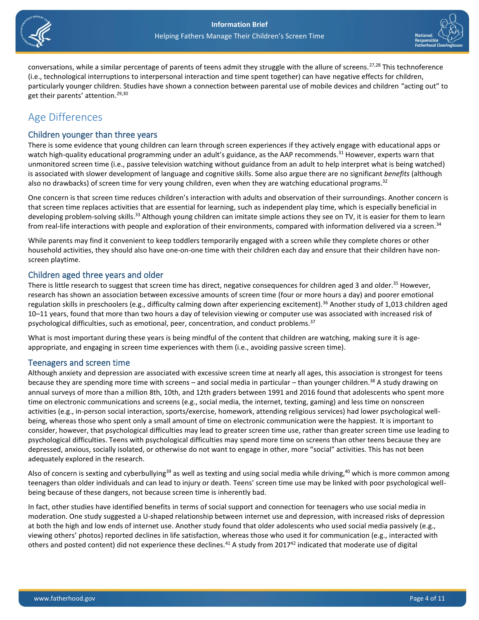



conversations, while a similar percentage of parents of teens admit they struggle with the allure of screens.<sup>27,28</sup> This technoference (i.e., technological interruptions to interpersonal interaction and time spent together) can have negative effects for children, particularly younger children. Studies have shown a connection between parental use of mobile devices and children "acting out" to get their parents' attention.<sup>29,30</sup>

## Age Differences

### Children younger than three years

There is some evidence that young children can learn through screen experiences if they actively engage with educational apps or watch high-quality educational programming under an adult's guidance, as the AAP recommends.<sup>31</sup> However, experts warn that unmonitored screen time (i.e., passive television watching without guidance from an adult to help interpret what is being watched) is associated with slower development of language and cognitive skills. Some also argue there are no significant *benefits* (although also no drawbacks) of screen time for very young children, even when they are watching educational programs.<sup>32</sup>

One concern is that screen time reduces children's interaction with adults and observation of their surroundings. Another concern is that screen time replaces activities that are essential for learning, such as independent play time, which is especially beneficial in developing problem-solving skills.<sup>33</sup> Although young children can imitate simple actions they see on TV, it is easier for them to learn from real-life interactions with people and exploration of their environments, compared with information delivered via a screen.<sup>34</sup>

While parents may find it convenient to keep toddlers temporarily engaged with a screen while they complete chores or other household activities, they should also have one-on-one time with their children each day and ensure that their children have nonscreen playtime.

### Children aged three years and older

There is little research to suggest that screen time has direct, negative consequences for children aged 3 and older.<sup>35</sup> However, research has shown an association between excessive amounts of screen time (four or more hours a day) and poorer emotional regulation skills in preschoolers (e.g., difficulty calming down after experiencing excitement).<sup>36</sup> Another study of 1,013 children aged 10–11 years, found that more than two hours a day of television viewing or computer use was associated with increased risk of psychological difficulties, such as emotional, peer, concentration, and conduct problems. 37

What is most important during these years is being mindful of the content that children are watching, making sure it is ageappropriate, and engaging in screen time experiences with them (i.e., avoiding passive screen time).

### Teenagers and screen time

Although anxiety and depression are associated with excessive screen time at nearly all ages, this association is strongest for teens because they are spending more time with screens – and social media in particular – than younger children.<sup>38</sup> A study drawing on annual surveys of more than a million 8th, 10th, and 12th graders between 1991 and 2016 found that adolescents who spent more time on electronic communications and screens (e.g., social media, the internet, texting, gaming) and less time on nonscreen activities (e.g., in-person social interaction, sports/exercise, homework, attending religious services) had lower psychological wellbeing, whereas those who spent only a small amount of time on electronic communication were the happiest. It is important to consider, however, that psychological difficulties may lead to greater screen time use, rather than greater screen time use leading to psychological difficulties. Teens with psychological difficulties may spend more time on screens than other teens because they are depressed, anxious, socially isolated, or otherwise do not want to engage in other, more "social" activities. This has not been adequately explored in the research.

Also of concern is sexting and cyberbullying<sup>39</sup> as well as texting and using social media while driving,<sup>40</sup> which is more common among teenagers than older individuals and can lead to injury or death. Teens' screen time use may be linked with poor psychological wellbeing because of these dangers, not because screen time is inherently bad.

In fact, other studies have identified benefits in terms of social support and connection for teenagers who use social media in moderation. One study suggested a U-shaped relationship between internet use and depression, with increased risks of depression at both the high and low ends of internet use. Another study found that older adolescents who used social media passively (e.g., viewing others' photos) reported declines in life satisfaction, whereas those who used it for communication (e.g., interacted with others and posted content) did not experience these declines.<sup>41</sup> A study from 2017<sup>42</sup> indicated that moderate use of digital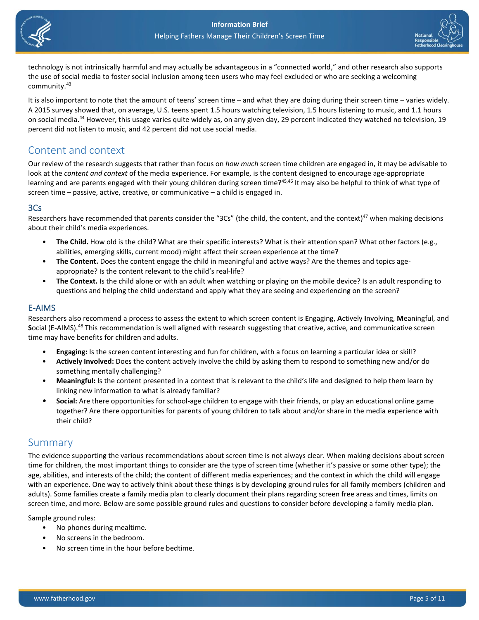



technology is not intrinsically harmful and may actually be advantageous in a "connected world," and other research also supports the use of social media to foster social inclusion among teen users who may feel excluded or who are seeking a welcoming community.<sup>43</sup>

It is also important to note that the amount of teens' screen time – and what they are doing during their screen time – varies widely. A 2015 survey showed that, on average, U.S. teens spent 1.5 hours watching television, 1.5 hours listening to music, and 1.1 hours on social media.<sup>44</sup> However, this usage varies quite widely as, on any given day, 29 percent indicated they watched no television, 19 percent did not listen to music, and 42 percent did not use social media.

## Content and context

Our review of the research suggests that rather than focus on *how much* screen time children are engaged in, it may be advisable to look at the *content and context* of the media experience. For example, is the content designed to encourage age-appropriate learning and are parents engaged with their young children during screen time?<sup>45,46</sup> It may also be helpful to think of what type of screen time – passive, active, creative, or communicative – a child is engaged in.

### 3Cs

Researchers have recommended that parents consider the "3Cs" (the child, the content, and the context)<sup>47</sup> when making decisions about their child's media experiences.

- **The Child.** How old is the child? What are their specific interests? What is their attention span? What other factors (e.g., abilities, emerging skills, current mood) might affect their screen experience at the time?
- **The Content.** Does the content engage the child in meaningful and active ways? Are the themes and topics ageappropriate? Is the content relevant to the child's real-life?
- **The Context.** Is the child alone or with an adult when watching or playing on the mobile device? Is an adult responding to questions and helping the child understand and apply what they are seeing and experiencing on the screen?

### E-AIMS

Researchers also recommend a process to assess the extent to which screen content is **E**ngaging, **A**ctively **I**nvolving, **M**eaningful, and **S**ocial (E-AIMS).<sup>48</sup> This recommendation is well aligned with research suggesting that creative, active, and communicative screen time may have benefits for children and adults.

- **Engaging:** Is the screen content interesting and fun for children, with a focus on learning a particular idea or skill?
- **Actively Involved:** Does the content actively involve the child by asking them to respond to something new and/or do something mentally challenging?
- **Meaningful:** Is the content presented in a context that is relevant to the child's life and designed to help them learn by linking new information to what is already familiar?
- **Social:** Are there opportunities for school-age children to engage with their friends, or play an educational online game together? Are there opportunities for parents of young children to talk about and/or share in the media experience with their child?

## Summary

The evidence supporting the various recommendations about screen time is not always clear. When making decisions about screen time for children, the most important things to consider are the type of screen time (whether it's passive or some other type); the age, abilities, and interests of the child; the content of different media experiences; and the context in which the child will engage with an experience. One way to actively think about these things is by developing ground rules for all family members (children and adults). Some families create a family media plan to clearly document their plans regarding screen free areas and times, limits on screen time, and more. Below are some possible ground rules and questions to consider before developing a family media plan.

Sample ground rules:

- No phones during mealtime.
- No screens in the bedroom.
- No screen time in the hour before bedtime.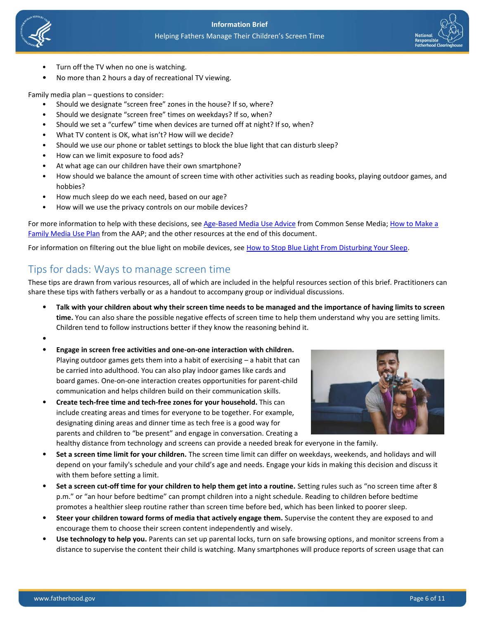



- Turn off the TV when no one is watching.
- No more than 2 hours a day of recreational TV viewing.

Family media plan – questions to consider:

- Should we designate "screen free" zones in the house? If so, where?
- Should we designate "screen free" times on weekdays? If so, when?
- Should we set a "curfew" time when devices are turned off at night? If so, when?
- What TV content is OK, what isn't? How will we decide?
- Should we use our phone or tablet settings to block the blue light that can disturb sleep?
- How can we limit exposure to food ads?
- At what age can our children have their own smartphone?
- How should we balance the amount of screen time with other activities such as reading books, playing outdoor games, and hobbies?
- How much sleep do we each need, based on our age?
- How will we use the privacy controls on our mobile devices?

For more information to help with these decisions, se[e Age-Based Media Use Advice](https://www.commonsensemedia.org/sites/default/files/uploads/pdfs/2017_cs_aap_brochure_digitalprint_en_final.pdf) from Common Sense Media; How to Make a [Family Media Use Plan](https://www.healthychildren.org/English/family-life/Media/Pages/How-to-Make-a-Family-Media-Use-Plan.aspx) from the AAP; and the other resources at the end of this document.

For information on filtering out the blue light on mobile devices, see [How to Stop Blue Light From Disturbing Your Sleep.](https://www.pcmag.com/news/354971/how-to-stop-gadget-blue-light-from-disturbing-your-sleep)

## Tips for dads: Ways to manage screen time

These tips are drawn from various resources, all of which are included in the helpful resources section of this brief. Practitioners can share these tips with fathers verbally or as a handout to accompany group or individual discussions.

- **Talk with your children about why their screen time needs to be managed and the importance of having limits to screen time.** You can also share the possible negative effects of screen time to help them understand why you are setting limits. Children tend to follow instructions better if they know the reasoning behind it.
- •
- **Engage in screen free activities and one-on-one interaction with children.** Playing outdoor games gets them into a habit of exercising – a habit that can be carried into adulthood. You can also play indoor games like cards and board games. One-on-one interaction creates opportunities for parent-child communication and helps children build on their communication skills.
- **Create tech-free time and tech-free zones for your household.** This can include creating areas and times for everyone to be together. For example, designating dining areas and dinner time as tech free is a good way for parents and children to "be present" and engage in conversation. Creating a healthy distance from technology and screens can provide a needed break for everyone in the family.



- **Set a screen time limit for your children.** The screen time limit can differ on weekdays, weekends, and holidays and will depend on your family's schedule and your child's age and needs. Engage your kids in making this decision and discuss it with them before setting a limit.
- **Set a screen cut-off time for your children to help them get into a routine.** Setting rules such as "no screen time after 8 p.m." or "an hour before bedtime" can prompt children into a night schedule. Reading to children before bedtime promotes a healthier sleep routine rather than screen time before bed, which has been linked to poorer sleep.
- **Steer your children toward forms of media that actively engage them.** Supervise the content they are exposed to and encourage them to choose their screen content independently and wisely.
- **Use technology to help you.** Parents can set up parental locks, turn on safe browsing options, and monitor screens from a distance to supervise the content their child is watching. Many smartphones will produce reports of screen usage that can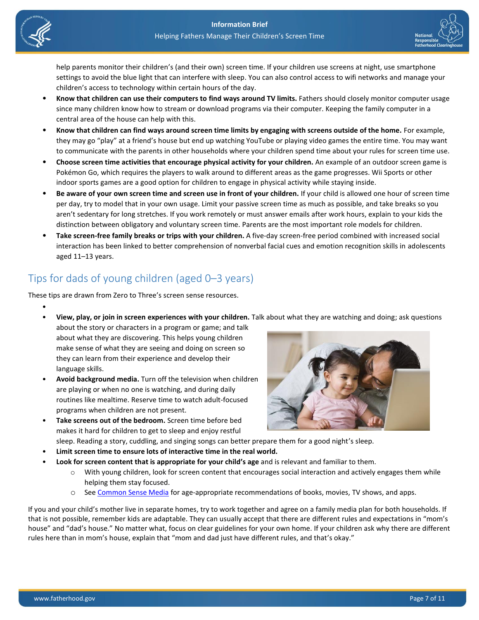

•



help parents monitor their children's (and their own) screen time. If your children use screens at night, use smartphone settings to avoid the blue light that can interfere with sleep. You can also control access to wifi networks and manage your children's access to technology within certain hours of the day.

- **Know that children can use their computers to find ways around TV limits.** Fathers should closely monitor computer usage since many children know how to stream or download programs via their computer. Keeping the family computer in a central area of the house can help with this.
- **Know that children can find ways around screen time limits by engaging with screens outside of the home.** For example, they may go "play" at a friend's house but end up watching YouTube or playing video games the entire time. You may want to communicate with the parents in other households where your children spend time about your rules for screen time use.
- **Choose screen time activities that encourage physical activity for your children.** An example of an outdoor screen game is Pokémon Go, which requires the players to walk around to different areas as the game progresses. Wii Sports or other indoor sports games are a good option for children to engage in physical activity while staying inside.
- **Be aware of your own screen time and screen use in front of your children.** If your child is allowed one hour of screen time per day, try to model that in your own usage. Limit your passive screen time as much as possible, and take breaks so you aren't sedentary for long stretches. If you work remotely or must answer emails after work hours, explain to your kids the distinction between obligatory and voluntary screen time. Parents are the most important role models for children.
- **Take screen-free family breaks or trips with your children.** A five-day screen-free period combined with increased social interaction has been linked to better comprehension of nonverbal facial cues and emotion recognition skills in adolescents aged 11–13 years.

## Tips for dads of young children (aged 0–3 years)

These tips are drawn from Zero to Three's screen sense resources.

- **View, play, or join in screen experiences with your children.** Talk about what they are watching and doing; ask questions
- about the story or characters in a program or game; and talk about what they are discovering. This helps young children make sense of what they are seeing and doing on screen so they can learn from their experience and develop their language skills.
- **Avoid background media.** Turn off the television when children are playing or when no one is watching, and during daily routines like mealtime. Reserve time to watch adult-focused programs when children are not present.
- **Take screens out of the bedroom.** Screen time before bed makes it hard for children to get to sleep and enjoy restful



- sleep. Reading a story, cuddling, and singing songs can better prepare them for a good night's sleep.
- **Limit screen time to ensure lots of interactive time in the real world.**
	- **Look for screen content that is appropriate for your child's age** and is relevant and familiar to them.
		- o With young children, look for screen content that encourages social interaction and actively engages them while helping them stay focused.
		- o See [Common Sense Media](https://www.commonsensemedia.org/) for age-appropriate recommendations of books, movies, TV shows, and apps.

If you and your child's mother live in separate homes, try to work together and agree on a family media plan for both households. If that is not possible, remember kids are adaptable. They can usually accept that there are different rules and expectations in "mom's house" and "dad's house." No matter what, focus on clear guidelines for your own home. If your children ask why there are different rules here than in mom's house, explain that "mom and dad just have different rules, and that's okay."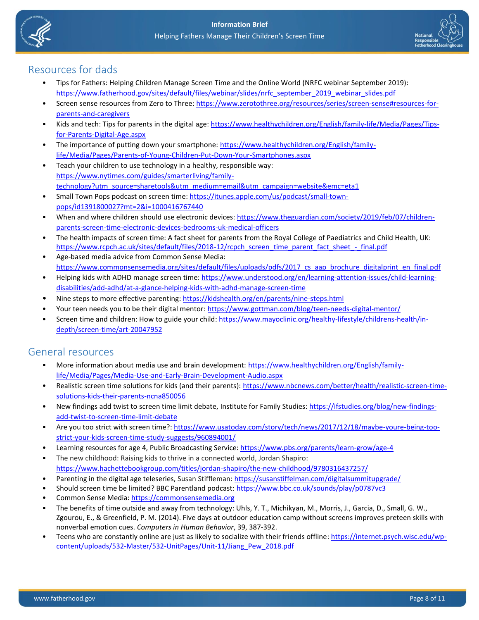



## Resources for dads

- Tips for Fathers: Helping Children Manage Screen Time and the Online World (NRFC webinar September 2019): [https://www.fatherhood.gov/sites/default/files/webinar/slides/nrfc\\_september\\_2019\\_webinar\\_slides.pdf](https://www.fatherhood.gov/sites/default/files/webinar/slides/nrfc_september_2019_webinar_slides.pdf)
- Screen sense resources from Zero to Three: [https://www.zerotothree.org/resources/series/screen-sense#resources-for](https://www.zerotothree.org/resources/series/screen-sense#resources-for-parents-and-caregivers)[parents-and-caregivers](https://www.zerotothree.org/resources/series/screen-sense#resources-for-parents-and-caregivers)
- Kids and tech: Tips for parents in the digital age: [https://www.healthychildren.org/English/family-life/Media/Pages/Tips](https://www.healthychildren.org/English/family-life/Media/Pages/Tips-for-Parents-Digital-Age.aspx)[for-Parents-Digital-Age.aspx](https://www.healthychildren.org/English/family-life/Media/Pages/Tips-for-Parents-Digital-Age.aspx)
- The importance of putting down your smartphone: [https://www.healthychildren.org/English/family](https://www.healthychildren.org/English/family-life/Media/Pages/Parents-of-Young-Children-Put-Down-Your-Smartphones.aspx)[life/Media/Pages/Parents-of-Young-Children-Put-Down-Your-Smartphones.aspx](https://www.healthychildren.org/English/family-life/Media/Pages/Parents-of-Young-Children-Put-Down-Your-Smartphones.aspx)
- Teach your children to use technology in a healthy, responsible way: [https://www.nytimes.com/guides/smarterliving/family](https://www.nytimes.com/guides/smarterliving/family-technology?utm_source=sharetools&utm_medium=email&utm_campaign=website&emc=eta1)[technology?utm\\_source=sharetools&utm\\_medium=email&utm\\_campaign=website&emc=eta1](https://www.nytimes.com/guides/smarterliving/family-technology?utm_source=sharetools&utm_medium=email&utm_campaign=website&emc=eta1)
- Small Town Pops podcast on screen time[: https://itunes.apple.com/us/podcast/small-town](https://itunes.apple.com/us/podcast/small-town-pops/id1391800027?mt=2&i=1000416767440)[pops/id1391800027?mt=2&i=1000416767440](https://itunes.apple.com/us/podcast/small-town-pops/id1391800027?mt=2&i=1000416767440)
- When and where children should use electronic devices: [https://www.theguardian.com/society/2019/feb/07/children](https://www.theguardian.com/society/2019/feb/07/children-parents-screen-time-electronic-devices-bedrooms-uk-medical-officers)[parents-screen-time-electronic-devices-bedrooms-uk-medical-officers](https://www.theguardian.com/society/2019/feb/07/children-parents-screen-time-electronic-devices-bedrooms-uk-medical-officers)
- The health impacts of screen time: A fact sheet for parents from the Royal College of Paediatrics and Child Health, UK: [https://www.rcpch.ac.uk/sites/default/files/2018-12/rcpch\\_screen\\_time\\_parent\\_fact\\_sheet\\_-\\_final.pdf](https://www.rcpch.ac.uk/sites/default/files/2018-12/rcpch_screen_time_parent_fact_sheet_-_final.pdf)
- Age-based media advice from Common Sense Media: https://www.commonsensemedia.org/sites/default/files/uploads/pdfs/2017 cs aap brochure digitalprint en final.pdf
- Helping kids with ADHD manage screen time: [https://www.understood.org/en/learning-attention-issues/child-learning](https://www.understood.org/en/learning-attention-issues/child-learning-disabilities/add-adhd/at-a-glance-helping-kids-with-adhd-manage-screen-time)[disabilities/add-adhd/at-a-glance-helping-kids-with-adhd-manage-screen-time](https://www.understood.org/en/learning-attention-issues/child-learning-disabilities/add-adhd/at-a-glance-helping-kids-with-adhd-manage-screen-time)
- Nine steps to more effective parenting:<https://kidshealth.org/en/parents/nine-steps.html>
- Your teen needs you to be their digital mentor[: https://www.gottman.com/blog/teen-needs-digital-mentor/](https://www.gottman.com/blog/teen-needs-digital-mentor/)
- Screen time and children: How to guide your child: [https://www.mayoclinic.org/healthy-lifestyle/childrens-health/in](https://www.mayoclinic.org/healthy-lifestyle/childrens-health/in-depth/screen-time/art-20047952)[depth/screen-time/art-20047952](https://www.mayoclinic.org/healthy-lifestyle/childrens-health/in-depth/screen-time/art-20047952)

## General resources

- More information about media use and brain development: [https://www.healthychildren.org/English/family](https://www.healthychildren.org/English/family-life/Media/Pages/Media-Use-and-Early-Brain-Development-Audio.aspx)[life/Media/Pages/Media-Use-and-Early-Brain-Development-Audio.aspx](https://www.healthychildren.org/English/family-life/Media/Pages/Media-Use-and-Early-Brain-Development-Audio.aspx)
- Realistic screen time solutions for kids (and their parents)[: https://www.nbcnews.com/better/health/realistic-screen-time](https://www.nbcnews.com/better/health/realistic-screen-time-solutions-kids-their-parents-ncna850056)[solutions-kids-their-parents-ncna850056](https://www.nbcnews.com/better/health/realistic-screen-time-solutions-kids-their-parents-ncna850056)
- New findings add twist to screen time limit debate, Institute for Family Studies[: https://ifstudies.org/blog/new-findings](https://ifstudies.org/blog/new-findings-add-twist-to-screen-time-limit-debate)[add-twist-to-screen-time-limit-debate](https://ifstudies.org/blog/new-findings-add-twist-to-screen-time-limit-debate)
- Are you too strict with screen time?: [https://www.usatoday.com/story/tech/news/2017/12/18/maybe-youre-being-too](https://www.usatoday.com/story/tech/news/2017/12/18/maybe-youre-being-too-strict-your-kids-screen-time-study-suggests/960894001/)[strict-your-kids-screen-time-study-suggests/960894001/](https://www.usatoday.com/story/tech/news/2017/12/18/maybe-youre-being-too-strict-your-kids-screen-time-study-suggests/960894001/)
- Learning resources for age 4, Public Broadcasting Service: <https://www.pbs.org/parents/learn-grow/age-4>
- The new childhood: Raising kids to thrive in a connected world, Jordan Shapiro: <https://www.hachettebookgroup.com/titles/jordan-shapiro/the-new-childhood/9780316437257/>
- Parenting in the digital age teleseries, Susan Stiffleman: <https://susanstiffelman.com/digitalsummitupgrade/>
- Should screen time be limited? BBC Parentland podcast:<https://www.bbc.co.uk/sounds/play/p0787vc3>
- Common Sense Media: [https://commonsensemedia.org](https://commonsensemedia.org/)
- The benefits of time outside and away from technology: Uhls, Y. T., Michikyan, M., Morris, J., Garcia, D., Small, G. W., Zgourou, E., & Greenfield, P. M. (2014). Five days at outdoor education camp without screens improves preteen skills with nonverbal emotion cues. *Computers in Human Behavior*, 39, 387-392.
- Teens who are constantly online are just as likely to socialize with their friends offline[: https://internet.psych.wisc.edu/wp](https://internet.psych.wisc.edu/wp-content/uploads/532-Master/532-UnitPages/Unit-11/Jiang_Pew_2018.pdf)[content/uploads/532-Master/532-UnitPages/Unit-11/Jiang\\_Pew\\_2018.pdf](https://internet.psych.wisc.edu/wp-content/uploads/532-Master/532-UnitPages/Unit-11/Jiang_Pew_2018.pdf)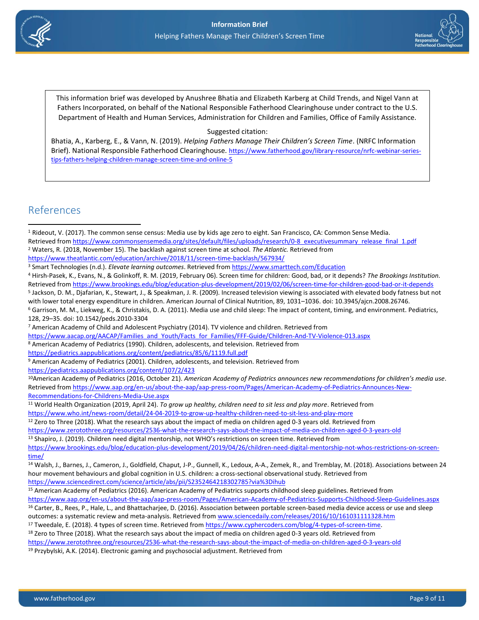



This information brief was developed by Anushree Bhatia and Elizabeth Karberg at Child Trends, and Nigel Vann at Fathers Incorporated, on behalf of the National Responsible Fatherhood Clearinghouse under contract to the U.S. Department of Health and Human Services, Administration for Children and Families, Office of Family Assistance.

### Suggested citation:

Bhatia, A., Karberg, E., & Vann, N. (2019). *Helping Fathers Manage Their Children's Screen Time*. (NRFC Information Brief). National Responsible Fatherhood Clearinghouse. [https://www.fatherhood.gov/library-resource/nrfc-webinar-series](https://www.fatherhood.gov/library-resource/nrfc-webinar-series-tips-fathers-helping-children-manage-screen-time-and-online-5)[tips-fathers-helping-children-manage-screen-time-and-online-5](https://www.fatherhood.gov/library-resource/nrfc-webinar-series-tips-fathers-helping-children-manage-screen-time-and-online-5)

## References

<sup>1</sup> Rideout, V. (2017). The common sense census: Media use by kids age zero to eight. San Francisco, CA: Common Sense Media. Retrieved fro[m https://www.commonsensemedia.org/sites/default/files/uploads/research/0-8\\_executivesummary\\_release\\_final\\_1.pdf](https://www.commonsensemedia.org/sites/default/files/uploads/research/0-8_executivesummary_release_final_1.pdf) <sup>2</sup> Waters, R. (2018, November 15). The backlash against screen time at school*. The Atlantic.* Retrieved from

<sup>8</sup> American Academy of Pediatrics (1990). Children, adolescents, and television. Retrieved from

<https://pediatrics.aappublications.org/content/pediatrics/85/6/1119.full.pdf>

<sup>11</sup> World Health Organization (2019, April 24). *To grow up healthy, children need to sit less and play more*. Retrieved from <https://www.who.int/news-room/detail/24-04-2019-to-grow-up-healthy-children-need-to-sit-less-and-play-more>

 $12$  Zero to Three (2018). What the research says about the impact of media on children aged 0-3 years old. Retrieved from

<https://www.zerotothree.org/resources/2536-what-the-research-says-about-the-impact-of-media-on-children-aged-0-3-years-old>

13 Shapiro, J. (2019). Children need digital mentorship, not WHO's restrictions on screen time. Retrieved from [https://www.brookings.edu/blog/education-plus-development/2019/04/26/children-need-digital-mentorship-not-whos-restrictions-on-screen](https://www.brookings.edu/blog/education-plus-development/2019/04/26/children-need-digital-mentorship-not-whos-restrictions-on-screen-time/)[time/](https://www.brookings.edu/blog/education-plus-development/2019/04/26/children-need-digital-mentorship-not-whos-restrictions-on-screen-time/)

<sup>19</sup> Przybylski, A.K. (2014). Electronic gaming and psychosocial adjustment. Retrieved from

<https://www.theatlantic.com/education/archive/2018/11/screen-time-backlash/567934/>

<sup>3</sup> Smart Technologies (n.d.). *Elevate learning outcomes*. Retrieved fro[m https://www.smarttech.com/Education](https://www.smarttech.com/Education)

<sup>4</sup> Hirsh-Pasek, K., Evans, N., & Golinkoff, R. M. (2019, February 06). Screen time for children: Good, bad, or it depends? *The Brookings Institution.* Retrieved fro[m https://www.brookings.edu/blog/education-plus-development/2019/02/06/screen-time-for-children-good-bad-or-it-depends](https://www.brookings.edu/blog/education-plus-development/2019/02/06/screen-time-for-children-good-bad-or-it-depends)

<sup>5</sup> Jackson, D. M., Djafarian, K., Stewart, J., & Speakman, J. R. (2009). Increased television viewing is associated with elevated body fatness but not with lower total energy expenditure in children. American Journal of Clinical Nutrition, 89, 1031–1036. doi: 10.3945/ajcn.2008.26746.

<sup>6</sup> Garrison, M. M., Liekweg, K., & Christakis, D. A. (2011). Media use and child sleep: The impact of content, timing, and environment. Pediatrics, 128, 29–35. doi: 10.1542/peds.2010-3304

<sup>7</sup> American Academy of Child and Adolescent Psychiatry (2014). TV violence and children. Retrieved from

[https://www.aacap.org/AACAP/Families\\_and\\_Youth/Facts\\_for\\_Families/FFF-Guide/Children-And-TV-Violence-013.aspx](https://www.aacap.org/AACAP/Families_and_Youth/Facts_for_Families/FFF-Guide/Children-And-TV-Violence-013.aspx)

<sup>9</sup> American Academy of Pediatrics (2001). Children, adolescents, and television. Retrieved from <https://pediatrics.aappublications.org/content/107/2/423>

<sup>10</sup>American Academy of Pediatrics (2016, October 21). *American Academy of Pediatrics announces new recommendations for children's media use*. Retrieved fro[m https://www.aap.org/en-us/about-the-aap/aap-press-room/Pages/American-Academy-of-Pediatrics-Announces-New-](https://www.aap.org/en-us/about-the-aap/aap-press-room/Pages/American-Academy-of-Pediatrics-Announces-New-Recommendations-for-Childrens-Media-Use.aspx)[Recommendations-for-Childrens-Media-Use.aspx](https://www.aap.org/en-us/about-the-aap/aap-press-room/Pages/American-Academy-of-Pediatrics-Announces-New-Recommendations-for-Childrens-Media-Use.aspx)

<sup>14</sup> Walsh, J., Barnes, J., Cameron, J., Goldfield, Chaput, J-P., Gunnell, K., Ledoux, A-A., Zemek, R., and Tremblay, M. (2018). Associations between 24 hour movement behaviours and global cognition in U.S. children: a cross-sectional observational study. Retrieved from <https://www.sciencedirect.com/science/article/abs/pii/S2352464218302785?via%3Dihub>

<sup>15</sup> American Academy of Pediatrics (2016). American Academy of Pediatrics supports childhood sleep guidelines. Retrieved from <https://www.aap.org/en-us/about-the-aap/aap-press-room/Pages/American-Academy-of-Pediatrics-Supports-Childhood-Sleep-Guidelines.aspx>

<sup>&</sup>lt;sup>16</sup> Carter, B., Rees, P., Hale, L., and Bhattacharjee, D. (2016). Association between portable screen-based media device access or use and sleep outcomes: a systematic review and meta-analysis. Retrieved fro[m www.sciencedaily.com/releases/2016/10/161031111328.htm](http://www.sciencedaily.com/releases/2016/10/161031111328.htm) <sup>17</sup> Tweedale, E. (2018). 4 types of screen time. Retrieved from [https://www.cyphercoders.com/blog/4-types-of-screen-time.](https://www.cyphercoders.com/blog/4-types-of-screen-time)

<sup>&</sup>lt;sup>18</sup> Zero to Three (2018). What the research says about the impact of media on children aged 0-3 years old. Retrieved from

<https://www.zerotothree.org/resources/2536-what-the-research-says-about-the-impact-of-media-on-children-aged-0-3-years-old>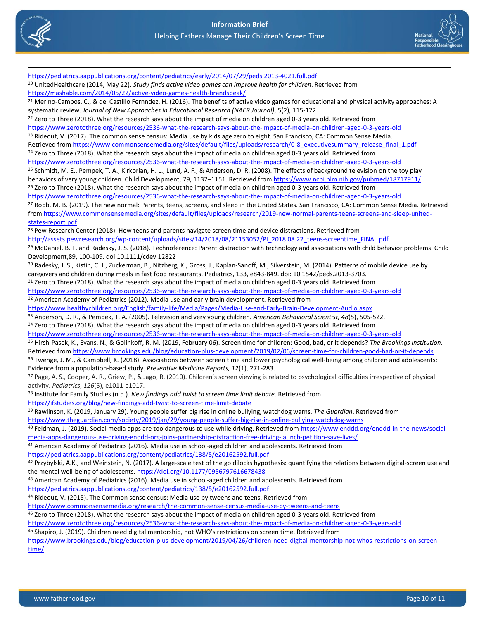



<https://pediatrics.aappublications.org/content/pediatrics/early/2014/07/29/peds.2013-4021.full.pdf> <sup>20</sup> UnitedHealthcare (2014, May 22). *Study finds active video games can improve health for children*. Retrieved from <https://mashable.com/2014/05/22/active-video-games-health-brandspeak/>  $21$  Merino-Campos, C., & del Castillo Fernndez, H. (2016). The benefits of active video games for educational and physical activity approaches: A systematic review. *Journal of New Approaches in Educational Research (NAER Journal)*, 5(2), 115-122. <sup>22</sup> Zero to Three (2018). What the research says about the impact of media on children aged 0-3 years old. Retrieved from <https://www.zerotothree.org/resources/2536-what-the-research-says-about-the-impact-of-media-on-children-aged-0-3-years-old> <sup>23</sup> Rideout, V. (2017). The common sense census: Media use by kids age zero to eight. San Francisco, CA: Common Sense Media. Retrieved fro[m https://www.commonsensemedia.org/sites/default/files/uploads/research/0-8\\_executivesummary\\_release\\_final\\_1.pdf](https://www.commonsensemedia.org/sites/default/files/uploads/research/0-8_executivesummary_release_final_1.pdf) <sup>24</sup> Zero to Three (2018). What the research says about the impact of media on children aged 0-3 years old. Retrieved from <https://www.zerotothree.org/resources/2536-what-the-research-says-about-the-impact-of-media-on-children-aged-0-3-years-old> <sup>25</sup> Schmidt, M. E., Pempek, T. A., Kirkorian, H. L., Lund, A. F., & Anderson, D. R. (2008). The effects of background television on the toy play behaviors of very young children. Child Development, 79, 1137-1151. Retrieved from<https://www.ncbi.nlm.nih.gov/pubmed/18717911/> <sup>26</sup> Zero to Three (2018). What the research says about the impact of media on children aged 0-3 years old. Retrieved from <https://www.zerotothree.org/resources/2536-what-the-research-says-about-the-impact-of-media-on-children-aged-0-3-years-old> <sup>27</sup> Robb, M. B. (2019). The new normal: Parents, teens, screens, and sleep in the United States. San Francisco, CA: Common Sense Media. Retrieved from [https://www.commonsensemedia.org/sites/default/files/uploads/research/2019-new-normal-parents-teens-screens-and-sleep-united](https://www.commonsensemedia.org/sites/default/files/uploads/research/2019-new-normal-parents-teens-screens-and-sleep-united-states-report.pdf)[states-report.pdf](https://www.commonsensemedia.org/sites/default/files/uploads/research/2019-new-normal-parents-teens-screens-and-sleep-united-states-report.pdf) <sup>28</sup> Pew Research Center (2018). How teens and parents navigate screen time and device distractions. Retrieved from [http://assets.pewresearch.org/wp-content/uploads/sites/14/2018/08/21153052/PI\\_2018.08.22\\_teens-screentime\\_FINAL.pdf](http://assets.pewresearch.org/wp-content/uploads/sites/14/2018/08/21153052/PI_2018.08.22_teens-screentime_FINAL.pdf) <sup>29</sup> McDaniel, B. T. and Radesky, J. S. (2018). Technoference: Parent distraction with technology and associations with child behavior problems. Child Development,89, 100-109. doi:10.1111/cdev.12822 <sup>30</sup> Radesky, J. S., Kistin, C. J., Zuckerman, B., Nitzberg, K., Gross, J., Kaplan-Sanoff, M., Silverstein, M. (2014). Patterns of mobile device use by caregivers and children during meals in fast food restaurants. Pediatrics, 133, e843-849. doi: 10.1542/peds.2013-3703. 31 Zero to Three (2018). What the research says about the impact of media on children aged 0-3 years old. Retrieved from <https://www.zerotothree.org/resources/2536-what-the-research-says-about-the-impact-of-media-on-children-aged-0-3-years-old> <sup>32</sup> American Academy of Pediatrics (2012). Media use and early brain development. Retrieved from <https://www.healthychildren.org/English/family-life/Media/Pages/Media-Use-and-Early-Brain-Development-Audio.aspx> <sup>33</sup> Anderson, D. R., & Pempek, T. A. (2005). Television and very young children. *American Behavioral Scientist, 48*(5), 505-522. 34 Zero to Three (2018). What the research says about the impact of media on children aged 0-3 years old. Retrieved from <https://www.zerotothree.org/resources/2536-what-the-research-says-about-the-impact-of-media-on-children-aged-0-3-years-old> <sup>35</sup> Hirsh-Pasek, K., Evans, N., & Golinkoff, R. M. (2019, February 06). Screen time for children: Good, bad, or it depends? *The Brookings Institution.* Retrieved fro[m https://www.brookings.edu/blog/education-plus-development/2019/02/06/screen-time-for-children-good-bad-or-it-depends](https://www.brookings.edu/blog/education-plus-development/2019/02/06/screen-time-for-children-good-bad-or-it-depends) <sup>36</sup> Twenge, J. M., & Campbell, K. (2018). Associations between screen time and lower psychological well-being among children and adolescents: Evidence from a population-based study. *Preventive Medicine Reports, 12*(1), 271-283. <sup>37</sup> Page, A. S., Cooper, A. R., Griew, P., & Jago, R. (2010). Children's screen viewing is related to psychological difficulties irrespective of physical activity. *Pediatrics*, *126*(5), e1011-e1017. <sup>38</sup> Institute for Family Studies (n.d.). *New findings add twist to screen time limit debate*. Retrieved from <https://ifstudies.org/blog/new-findings-add-twist-to-screen-time-limit-debate> <sup>39</sup> Rawlinson, K. (2019, January 29). Young people suffer big rise in online bullying, watchdog warns. *The Guardian*. Retrieved from <https://www.theguardian.com/society/2019/jan/29/young-people-suffer-big-rise-in-online-bullying-watchdog-warns> 40 Feldman, J. (2019). Social media apps are too dangerous to use while driving. Retrieved fro[m https://www.enddd.org/enddd-in-the-news/social](https://www.enddd.org/enddd-in-the-news/social-media-apps-dangerous-use-driving-enddd-org-joins-partnership-distraction-free-driving-launch-petition-save-lives/)[media-apps-dangerous-use-driving-enddd-org-joins-partnership-distraction-free-driving-launch-petition-save-lives/](https://www.enddd.org/enddd-in-the-news/social-media-apps-dangerous-use-driving-enddd-org-joins-partnership-distraction-free-driving-launch-petition-save-lives/) <sup>41</sup> American Academy of Pediatrics (2016). Media use in school-aged children and adolescents. Retrieved from <https://pediatrics.aappublications.org/content/pediatrics/138/5/e20162592.full.pdf> 42 Przybylski, A.K., and Weinstein, N. (2017). A large-scale test of the goldilocks hypothesis: quantifying the relations between digital-screen use and the mental well-being of adolescents[. https://doi.org/10.1177/0956797616678438](https://doi.org/10.1177/0956797616678438) 43 American Academy of Pediatrics (2016). Media use in school-aged children and adolescents. Retrieved from <https://pediatrics.aappublications.org/content/pediatrics/138/5/e20162592.full.pdf> <sup>44</sup> Rideout, V. (2015). The Common sense census: Media use by tweens and teens. Retrieved from <https://www.commonsensemedia.org/research/the-common-sense-census-media-use-by-tweens-and-teens> <sup>45</sup> Zero to Three (2018). What the research says about the impact of media on children aged 0-3 years old. Retrieved from <https://www.zerotothree.org/resources/2536-what-the-research-says-about-the-impact-of-media-on-children-aged-0-3-years-old> <sup>46</sup> Shapiro, J. (2019). Children need digital mentorship, not WHO's restrictions on screen time. Retrieved from [https://www.brookings.edu/blog/education-plus-development/2019/04/26/children-need-digital-mentorship-not-whos-restrictions-on-screen](https://www.brookings.edu/blog/education-plus-development/2019/04/26/children-need-digital-mentorship-not-whos-restrictions-on-screen-time/)[time/](https://www.brookings.edu/blog/education-plus-development/2019/04/26/children-need-digital-mentorship-not-whos-restrictions-on-screen-time/)